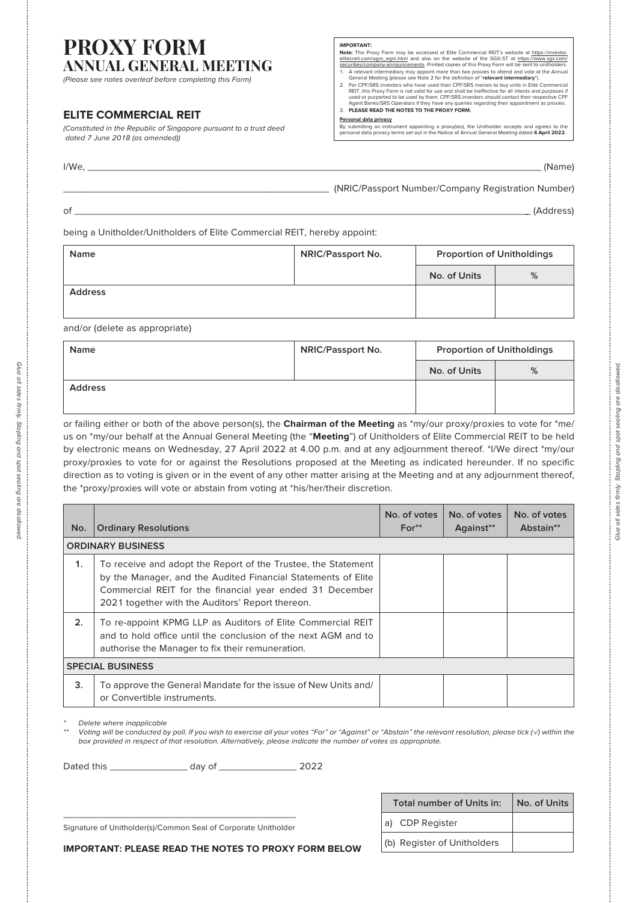## **PROXY FORM ANNUAL GENERAL MEETING**

(Please see notes overleaf before completing this Form)

## **ELITE COMMERCIAL REIT**

(Constituted in the Republic of Singapore pursuant to a trust deed dated 7 June 2018 (as amended))

- **IMPORTANT:**<br> **CONTENT:**<br> **Rock The EXECT STEP CONTIFICATION CONTIFICATION CONTENT:**<br> **ROCK TO THE CONTENT CONTENT:**<br> **ROCK THE CONTENT:**<br> **ROCK TO THE CONTENT:**<br> **ROCK THE CONTENT:**<br> **CONTENT:**<br> **EXECT ANTES**<br> **EXECT CONT**
- 
- 3. **PLEASE READ THE NOTES TO THE PROXY FORM.**

### **Personal data privacy**

By submitting an instrument appointing a proxy(ies), the Unitholder accepts and agrees to the personal data privacy terms set out in the Notice of Annual General Meeting dated **4 April 2022**.

I/We, \_\_\_\_\_\_\_\_\_\_\_\_\_\_\_\_\_\_\_\_\_\_\_\_\_\_\_\_\_\_\_\_\_\_\_\_\_\_\_\_\_\_\_\_\_\_\_\_\_\_\_\_\_\_\_\_\_\_\_\_\_\_\_\_\_\_\_\_\_\_\_\_\_\_\_\_\_\_\_\_\_\_ (Name)

### \_\_\_\_\_\_\_\_\_\_\_\_\_\_\_\_\_\_\_\_\_\_\_\_\_\_\_\_\_\_\_\_\_\_\_\_\_\_\_\_\_\_\_\_\_\_\_\_ (NRIC/Passport Number/Company Registration Number)

of \_\_\_\_\_\_\_\_\_\_\_\_\_\_\_\_\_\_\_\_\_\_\_\_\_\_\_\_\_\_\_\_\_\_\_\_\_\_\_\_\_\_\_\_\_\_\_\_\_\_\_\_\_\_\_\_\_\_\_\_\_\_\_\_\_\_\_\_\_\_\_\_\_\_\_\_\_\_\_\_\_\_\_ (Address)

being a Unitholder/Unitholders of Elite Commercial REIT, hereby appoint:

| <b>Name</b>    | <b>NRIC/Passport No.</b> | <b>Proportion of Unitholdings</b> |   |
|----------------|--------------------------|-----------------------------------|---|
|                |                          | No. of Units                      | % |
| <b>Address</b> |                          |                                   |   |
|                |                          |                                   |   |

and/or (delete as appropriate)

| Name           | <b>NRIC/Passport No.</b> | <b>Proportion of Unitholdings</b> |   |
|----------------|--------------------------|-----------------------------------|---|
|                |                          | No. of Units                      | % |
| <b>Address</b> |                          |                                   |   |

or failing either or both of the above person(s), the **Chairman of the Meeting** as \*my/our proxy/proxies to vote for \*me/ us on \*my/our behalf at the Annual General Meeting (the "**Meeting**") of Unitholders of Elite Commercial REIT to be held by electronic means on Wednesday, 27 April 2022 at 4.00 p.m. and at any adjournment thereof. \*I/We direct \*my/our proxy/proxies to vote for or against the Resolutions proposed at the Meeting as indicated hereunder. If no specific direction as to voting is given or in the event of any other matter arising at the Meeting and at any adjournment thereof, the \*proxy/proxies will vote or abstain from voting at \*his/her/their discretion.

| No.                     | <b>Ordinary Resolutions</b>                                                                                                                                                                                                                    | No. of votes<br>$For**$ | No. of votes<br>Against** | No. of votes<br>Abstain** |
|-------------------------|------------------------------------------------------------------------------------------------------------------------------------------------------------------------------------------------------------------------------------------------|-------------------------|---------------------------|---------------------------|
|                         | <b>ORDINARY BUSINESS</b>                                                                                                                                                                                                                       |                         |                           |                           |
| $\mathbf 1$ .           | To receive and adopt the Report of the Trustee, the Statement<br>by the Manager, and the Audited Financial Statements of Elite<br>Commercial REIT for the financial year ended 31 December<br>2021 together with the Auditors' Report thereon. |                         |                           |                           |
| 2.                      | To re-appoint KPMG LLP as Auditors of Elite Commercial REIT<br>and to hold office until the conclusion of the next AGM and to<br>authorise the Manager to fix their remuneration.                                                              |                         |                           |                           |
| <b>SPECIAL BUSINESS</b> |                                                                                                                                                                                                                                                |                         |                           |                           |
| 3.                      | To approve the General Mandate for the issue of New Units and/<br>or Convertible instruments.                                                                                                                                                  |                         |                           |                           |

Delete where inapplicable

Voting will be conducted by poll. If you wish to exercise all your votes "For" or "Against" or "Abstain" the relevant resolution, please tick (√) within the box provided in respect of that resolution. Alternatively, please indicate the number of votes as appropriate.

| Dated this | dav of |  |
|------------|--------|--|
|------------|--------|--|

\_\_\_\_\_\_\_\_\_\_\_\_\_\_\_\_\_\_\_\_\_\_\_\_\_\_\_\_\_\_\_\_\_\_\_\_\_\_\_\_\_\_ Signature of Unitholder(s)/Common Seal of Corporate Unitholder

| Total number of Units in:   | No. of Units |
|-----------------------------|--------------|
| a) CDP Register             |              |
| (b) Register of Unitholders |              |

**IMPORTANT: PLEASE READ THE NOTES TO PROXY FORM BELOW**